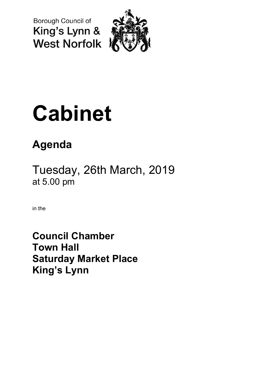Borough Council of King's Lynn & **West Norfolk** 



# **Cabinet**

## **Agenda**

Tuesday, 26th March, 2019 at 5.00 pm

in the

**Council Chamber Town Hall Saturday Market Place King's Lynn**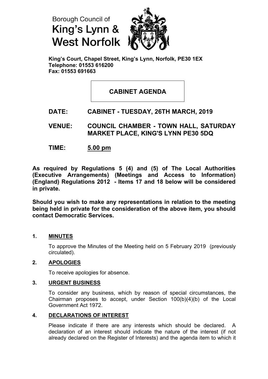



**King's Court, Chapel Street, King's Lynn, Norfolk, PE30 1EX Telephone: 01553 616200 Fax: 01553 691663**

### **CABINET AGENDA**

**DATE: CABINET - TUESDAY, 26TH MARCH, 2019**

**VENUE: COUNCIL CHAMBER - TOWN HALL, SATURDAY MARKET PLACE, KING'S LYNN PE30 5DQ**

**TIME: 5.00 pm**

**As required by Regulations 5 (4) and (5) of The Local Authorities (Executive Arrangements) (Meetings and Access to Information) (England) Regulations 2012 - Items 17 and 18 below will be considered in private.**

**Should you wish to make any representations in relation to the meeting being held in private for the consideration of the above item, you should contact Democratic Services.**

#### **1. MINUTES**

To approve the Minutes of the Meeting held on 5 February 2019 (previously circulated).

#### **2. APOLOGIES**

To receive apologies for absence.

#### **3. URGENT BUSINESS**

To consider any business, which by reason of special circumstances, the Chairman proposes to accept, under Section 100(b)(4)(b) of the Local Government Act 1972.

#### **4. DECLARATIONS OF INTEREST**

Please indicate if there are any interests which should be declared. A declaration of an interest should indicate the nature of the interest (if not already declared on the Register of Interests) and the agenda item to which it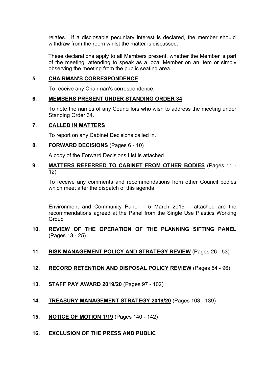relates. If a disclosable pecuniary interest is declared, the member should withdraw from the room whilst the matter is discussed.

These declarations apply to all Members present, whether the Member is part of the meeting, attending to speak as a local Member on an item or simply observing the meeting from the public seating area.

#### **5. CHAIRMAN'S CORRESPONDENCE**

To receive any Chairman's correspondence.

#### **6. MEMBERS PRESENT UNDER STANDING ORDER 34**

To note the names of any Councillors who wish to address the meeting under Standing Order 34.

#### **7. CALLED IN MATTERS**

To report on any Cabinet Decisions called in.

#### **8. FORWARD DECISIONS** (Pages 6 - 10)

A copy of the Forward Decisions List is attached

#### **9. MATTERS REFERRED TO CABINET FROM OTHER BODIES** (Pages 11 - 12)

To receive any comments and recommendations from other Council bodies which meet after the dispatch of this agenda.

Environment and Community Panel – 5 March 2019 – attached are the recommendations agreed at the Panel from the Single Use Plastics Working **Group** 

#### **10. REVIEW OF THE OPERATION OF THE PLANNING SIFTING PANEL** (Pages 13 - 25)

#### **11. RISK MANAGEMENT POLICY AND STRATEGY REVIEW** (Pages 26 - 53)

- **12. RECORD RETENTION AND DISPOSAL POLICY REVIEW** (Pages 54 96)
- **13. STAFF PAY AWARD 2019/20** (Pages 97 102)

#### **14. TREASURY MANAGEMENT STRATEGY 2019/20** (Pages 103 - 139)

- **15. NOTICE OF MOTION 1/19** (Pages 140 142)
- **16. EXCLUSION OF THE PRESS AND PUBLIC**